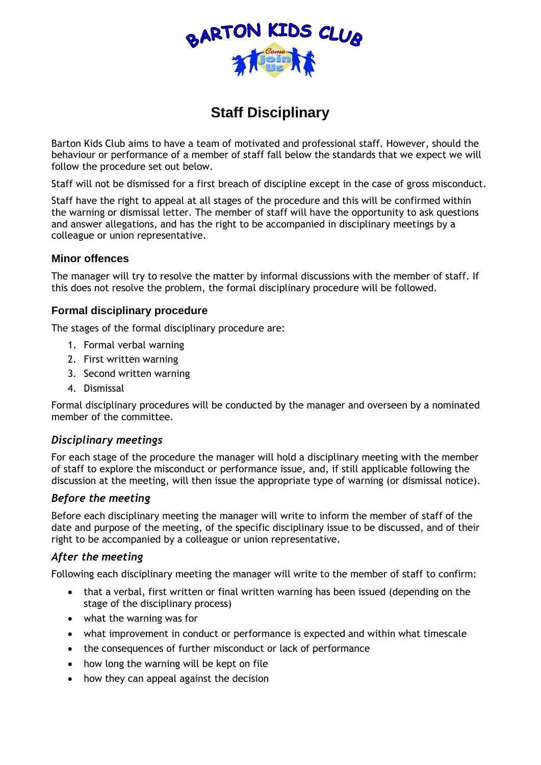

# **Staff Disciplinary**

Barton Kids Club aims to have a team of motivated and professional staff. However, should the behaviour or performance of a member of staff fall below the standards that we expect we will follow the procedure set out below.

Staff will not be dismissed for a first breach of discipline except in the case of gross misconduct.

Staff have the right to appeal at all stages of the procedure and this will be confirmed within the warning or dismissal letter. The member of staff will have the opportunity to ask questions and answer allegations, and has the right to be accompanied in disciplinary meetings by a colleague or union representative.

# **Minor offences**

The manager will try to resolve the matter by informal discussions with the member of staff. If this does not resolve the problem, the formal disciplinary procedure will be followed.

# **Formal disciplinary procedure**

The stages of the formal disciplinary procedure are:

- 1. Formal verbal warning
- 2. First written warning
- 3. Second written warning
- 4. Dismissal

Formal disciplinary procedures will be conducted by the manager and overseen by a nominated member of the committee.

## *Disciplinary meetings*

For each stage of the procedure the manager will hold a disciplinary meeting with the member of staff to explore the misconduct or performance issue, and, if still applicable following the discussion at the meeting, will then issue the appropriate type of warning (or dismissal notice).

## *Before the meeting*

Before each disciplinary meeting the manager will write to inform the member of staff of the date and purpose of the meeting, of the specific disciplinary issue to be discussed, and of their right to be accompanied by a colleague or union representative.

## *After the meeting*

Following each disciplinary meeting the manager will write to the member of staff to confirm:

- that a verbal, first written or final written warning has been issued (depending on the stage of the disciplinary process)
- what the warning was for
- what improvement in conduct or performance is expected and within what timescale
- the consequences of further misconduct or lack of performance
- how long the warning will be kept on file
- how they can appeal against the decision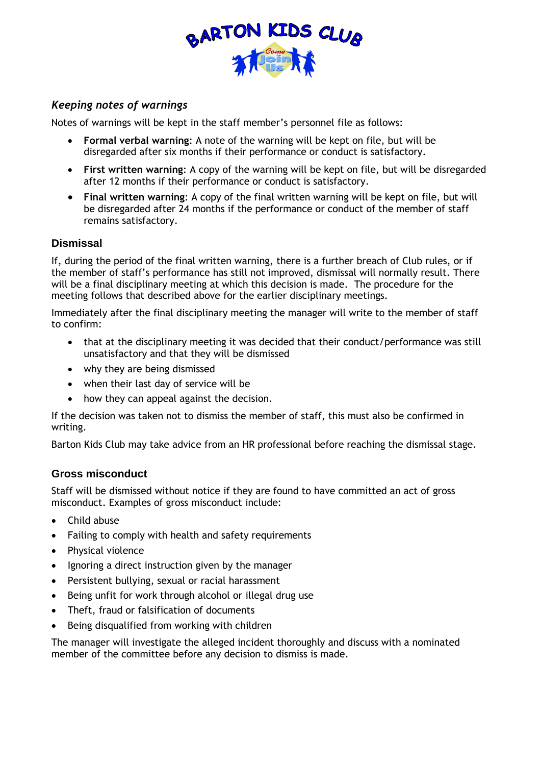

# *Keeping notes of warnings*

Notes of warnings will be kept in the staff member's personnel file as follows:

- **Formal verbal warning**: A note of the warning will be kept on file, but will be disregarded after six months if their performance or conduct is satisfactory.
- **First written warning**: A copy of the warning will be kept on file, but will be disregarded after 12 months if their performance or conduct is satisfactory.
- **Final written warning**: A copy of the final written warning will be kept on file, but will be disregarded after 24 months if the performance or conduct of the member of staff remains satisfactory.

# **Dismissal**

If, during the period of the final written warning, there is a further breach of Club rules, or if the member of staff's performance has still not improved, dismissal will normally result. There will be a final disciplinary meeting at which this decision is made. The procedure for the meeting follows that described above for the earlier disciplinary meetings.

Immediately after the final disciplinary meeting the manager will write to the member of staff to confirm:

- that at the disciplinary meeting it was decided that their conduct/performance was still unsatisfactory and that they will be dismissed
- why they are being dismissed
- when their last day of service will be
- how they can appeal against the decision.

If the decision was taken not to dismiss the member of staff, this must also be confirmed in writing.

Barton Kids Club may take advice from an HR professional before reaching the dismissal stage.

# **Gross misconduct**

Staff will be dismissed without notice if they are found to have committed an act of gross misconduct. Examples of gross misconduct include:

- Child abuse
- Failing to comply with health and safety requirements
- Physical violence
- Ignoring a direct instruction given by the manager
- Persistent bullying, sexual or racial harassment
- Being unfit for work through alcohol or illegal drug use
- Theft, fraud or falsification of documents
- Being disqualified from working with children

The manager will investigate the alleged incident thoroughly and discuss with a nominated member of the committee before any decision to dismiss is made.